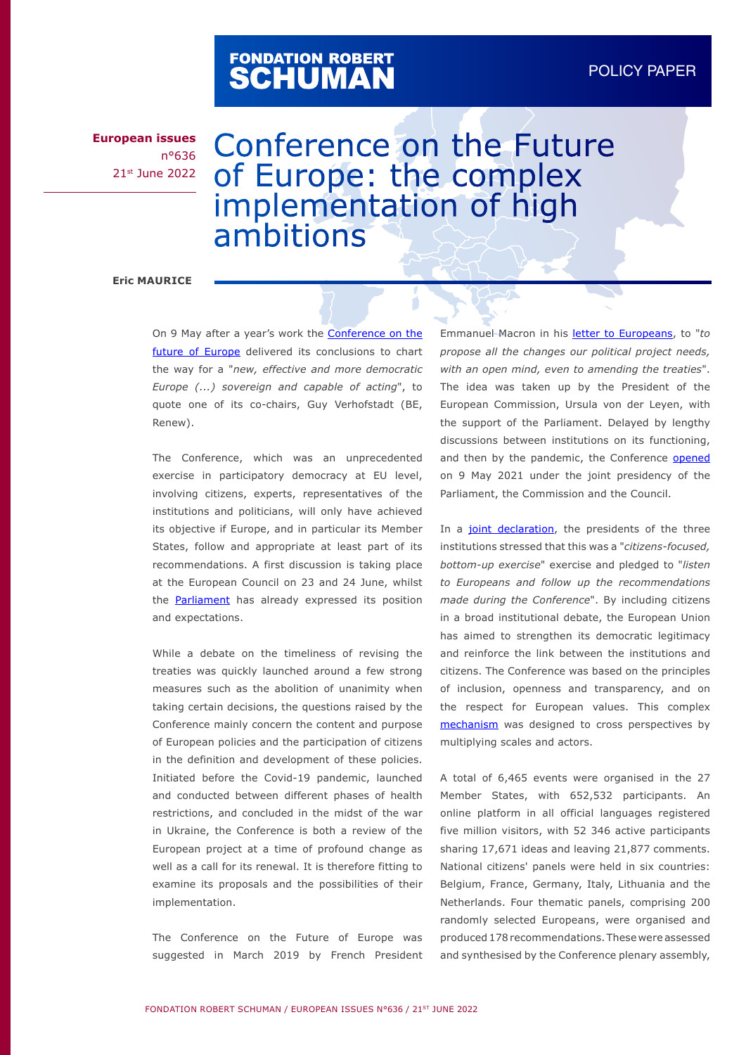# FONDATION ROBERT<br>**SCHUMAN**

**European issues** n°636 21st June 2022

# Conference on the Future of Europe: the complex implementation of high ambitions

### **Eric MAURICE**

On 9 May after a year's work the **[Conference on the](https://futureu.europa.eu/?locale=en)** [future of Europe](https://futureu.europa.eu/?locale=en) delivered its conclusions to chart the way for a "*new, effective and more democratic Europe (...) sovereign and capable of acting*", to quote one of its co-chairs, Guy Verhofstadt (BE, Renew).

The Conference, which was an unprecedented exercise in participatory democracy at EU level, involving citizens, experts, representatives of the institutions and politicians, will only have achieved its objective if Europe, and in particular its Member States, follow and appropriate at least part of its recommendations. A first discussion is taking place at the European Council on 23 and 24 June, whilst the [Parliament](https://www.europarl.europa.eu/news/en/headlines/priorities/eu-future-conference-follow-up/20220603IPR32122/parliament-activates-process-to-change-eu-treaties) has already expressed its position and expectations.

While a debate on the timeliness of revising the treaties was quickly launched around a few strong measures such as the abolition of unanimity when taking certain decisions, the questions raised by the Conference mainly concern the content and purpose of European policies and the participation of citizens in the definition and development of these policies. Initiated before the Covid-19 pandemic, launched and conducted between different phases of health restrictions, and concluded in the midst of the war in Ukraine, the Conference is both a review of the European project at a time of profound change as well as a call for its renewal. It is therefore fitting to examine its proposals and the possibilities of their implementation.

The Conference on the Future of Europe was suggested in March 2019 by French President Emmanuel Macron in his [letter to Europeans,](https://www.elysee.fr/en/emmanuel-macron/2019/03/04/for-european-renewal) to "*to propose all the changes our political project needs, with an open mind, even to amending the treaties*". The idea was taken up by the President of the European Commission, Ursula von der Leyen, with the support of the Parliament. Delayed by lengthy discussions between institutions on its functioning, and then by the pandemic, the Conference [opened](https://futureu.europa.eu/uploads/decidim/attachment/file/14587/CoFoE_Timeline__3_.jpg) on 9 May 2021 under the joint presidency of the Parliament, the Commission and the Council.

In a [joint declaration](https://futureu.europa.eu/rails/active_storage/blobs/eyJfcmFpbHMiOnsibWVzc2FnZSI6IkJBaHBRdz09IiwiZXhwIjpudWxsLCJwdXIiOiJibG9iX2lkIn19--e65d2ab6955bcb15f43dc455c5233f63902b8640/EN_-_JOINT_DECLARATION_ON_THE_CONFERENCE_ON_THE_FUTURE_OF_EUROPE.pdf), the presidents of the three institutions stressed that this was a "*citizens-focused, bottom-up exercise*" exercise and pledged to "*listen to Europeans and follow up the recommendations made during the Conference*". By including citizens in a broad institutional debate, the European Union has aimed to strengthen its democratic legitimacy and reinforce the link between the institutions and citizens. The Conference was based on the principles of inclusion, openness and transparency, and on the respect for European values. This complex [mechanism](https://www.europarl.europa.eu/RegData/etudes/ATAG/2021/690610/EPRS_ATA(2021)690610_EN.pdf) was designed to cross perspectives by multiplying scales and actors.

A total of 6,465 events were organised in the 27 Member States, with 652,532 participants. An online platform in all official languages registered five million visitors, with 52 346 active participants sharing 17,671 ideas and leaving 21,877 comments. National citizens' panels were held in six countries: Belgium, France, Germany, Italy, Lithuania and the Netherlands. Four thematic panels, comprising 200 randomly selected Europeans, were organised and produced 178 recommendations. These were assessed and synthesised by the Conference plenary assembly,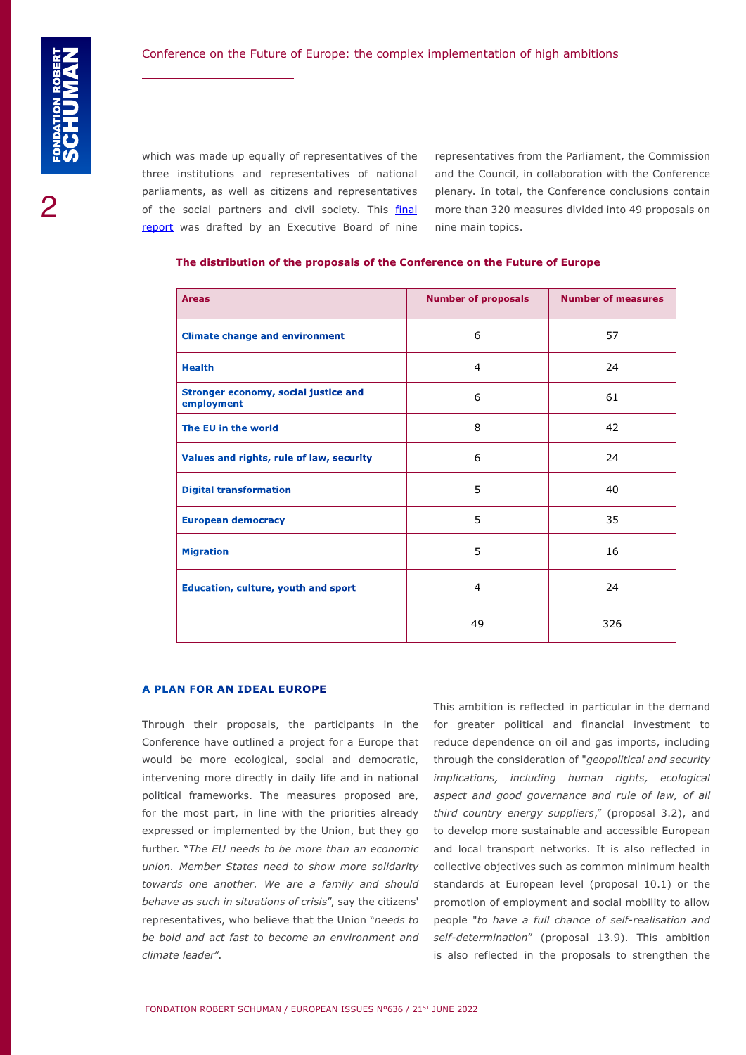which was made up equally of representatives of the three institutions and representatives of national parliaments, as well as citizens and representatives of the social partners and civil society. This *[final](https://futureu.europa.eu/rails/active_storage/blobs/redirect/eyJfcmFpbHMiOnsibWVzc2FnZSI6IkJBaHBBeUl0QVE9PSIsImV4cCI6bnVsbCwicHVyIjoiYmxvYl9pZCJ9fQ==--899f1bfedf2d3fc6c36d4a9bc0dd42f54046562e/CoFE_Report_with_annexes_EN.pdf)* [report](https://futureu.europa.eu/rails/active_storage/blobs/redirect/eyJfcmFpbHMiOnsibWVzc2FnZSI6IkJBaHBBeUl0QVE9PSIsImV4cCI6bnVsbCwicHVyIjoiYmxvYl9pZCJ9fQ==--899f1bfedf2d3fc6c36d4a9bc0dd42f54046562e/CoFE_Report_with_annexes_EN.pdf) was drafted by an Executive Board of nine

representatives from the Parliament, the Commission and the Council, in collaboration with the Conference plenary. In total, the Conference conclusions contain more than 320 measures divided into 49 proposals on nine main topics.

| <b>Areas</b>                                              | <b>Number of proposals</b> | <b>Number of measures</b> |
|-----------------------------------------------------------|----------------------------|---------------------------|
| <b>Climate change and environment</b>                     | 6                          | 57                        |
| <b>Health</b>                                             | 4                          | 24                        |
| <b>Stronger economy, social justice and</b><br>employment | 6                          | 61                        |
| The EU in the world                                       | 8                          | 42                        |
| Values and rights, rule of law, security                  | 6                          | 24                        |
| <b>Digital transformation</b>                             | 5                          | 40                        |
| <b>European democracy</b>                                 | 5                          | 35                        |
| <b>Migration</b>                                          | 5                          | 16                        |
| Education, culture, youth and sport                       | 4                          | 24                        |
|                                                           | 49                         | 326                       |

#### **The distribution of the proposals of the Conference on the Future of Europe**

#### **A PLAN FOR AN IDEAL EUROPE**

Through their proposals, the participants in the Conference have outlined a project for a Europe that would be more ecological, social and democratic, intervening more directly in daily life and in national political frameworks. The measures proposed are, for the most part, in line with the priorities already expressed or implemented by the Union, but they go further. "*The EU needs to be more than an economic union. Member States need to show more solidarity towards one another. We are a family and should behave as such in situations of crisis*", say the citizens' representatives, who believe that the Union "*needs to be bold and act fast to become an environment and climate leader*".

This ambition is reflected in particular in the demand for greater political and financial investment to reduce dependence on oil and gas imports, including through the consideration of "*geopolitical and security implications, including human rights, ecological aspect and good governance and rule of law, of all third country energy suppliers*," (proposal 3.2), and to develop more sustainable and accessible European and local transport networks. It is also reflected in collective objectives such as common minimum health standards at European level (proposal 10.1) or the promotion of employment and social mobility to allow people "*to have a full chance of self-realisation and self-determination*" (proposal 13.9). This ambition is also reflected in the proposals to strengthen the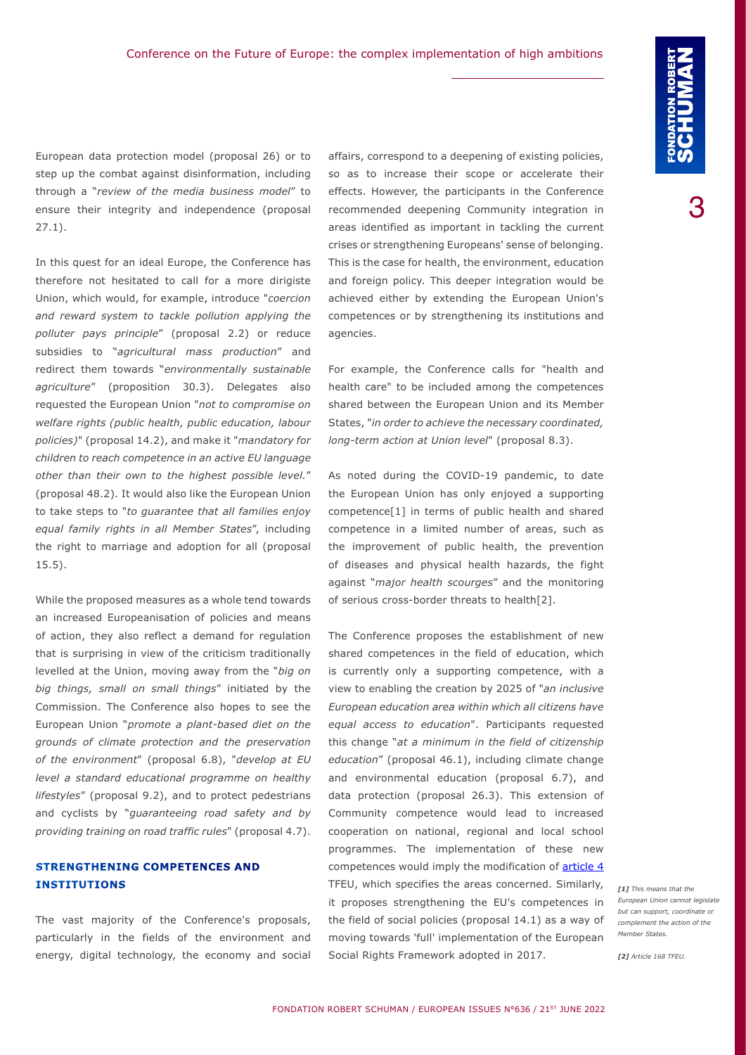European data protection model (proposal 26) or to step up the combat against disinformation, including through a "*review of the media business model*" to ensure their integrity and independence (proposal 27.1).

In this quest for an ideal Europe, the Conference has therefore not hesitated to call for a more dirigiste Union, which would, for example, introduce "*coercion and reward system to tackle pollution applying the polluter pays principle*" (proposal 2.2) or reduce subsidies to "*agricultural mass production*" and redirect them towards "*environmentally sustainable agriculture*" (proposition 30.3). Delegates also requested the European Union "*not to compromise on welfare rights (public health, public education, labour policies)*" (proposal 14.2), and make it "*mandatory for children to reach competence in an active EU language other than their own to the highest possible level.*" (proposal 48.2). It would also like the European Union to take steps to "*to guarantee that all families enjoy equal family rights in all Member States*", including the right to marriage and adoption for all (proposal 15.5).

While the proposed measures as a whole tend towards an increased Europeanisation of policies and means of action, they also reflect a demand for regulation that is surprising in view of the criticism traditionally levelled at the Union, moving away from the "*big on big things, small on small things*" initiated by the Commission. The Conference also hopes to see the European Union "*promote a plant-based diet on the grounds of climate protection and the preservation of the environment*" (proposal 6.8), "*develop at EU level a standard educational programme on healthy lifestyles*" (proposal 9.2), and to protect pedestrians and cyclists by "*guaranteeing road safety and by providing training on road traffic rules*" (proposal 4.7).

# **STRENGTHENING COMPETENCES AND INSTITUTIONS**

The vast majority of the Conference's proposals, particularly in the fields of the environment and energy, digital technology, the economy and social affairs, correspond to a deepening of existing policies, so as to increase their scope or accelerate their effects. However, the participants in the Conference recommended deepening Community integration in areas identified as important in tackling the current crises or strengthening Europeans' sense of belonging. This is the case for health, the environment, education and foreign policy. This deeper integration would be achieved either by extending the European Union's competences or by strengthening its institutions and agencies.

For example, the Conference calls for "health and health care" to be included among the competences shared between the European Union and its Member States, "*in order to achieve the necessary coordinated, long-term action at Union level*" (proposal 8.3).

As noted during the COVID-19 pandemic, to date the European Union has only enjoyed a supporting competence[1] in terms of public health and shared competence in a limited number of areas, such as the improvement of public health, the prevention of diseases and physical health hazards, the fight against "*major health scourges*" and the monitoring of serious cross-border threats to health[2].

The Conference proposes the establishment of new shared competences in the field of education, which is currently only a supporting competence, with a view to enabling the creation by 2025 of "*an inclusive European education area within which all citizens have equal access to education*". Participants requested this change "*at a minimum in the field of citizenship education*" (proposal 46.1), including climate change and environmental education (proposal 6.7), and data protection (proposal 26.3). This extension of Community competence would lead to increased cooperation on national, regional and local school programmes. The implementation of these new competences would imply the modification of [article 4](https://eur-lex.europa.eu/legal-content/EN/TXT/HTML/?uri=CELEX:12008E004&from=EN) TFEU, which specifies the areas concerned. Similarly, it proposes strengthening the EU's competences in the field of social policies (proposal 14.1) as a way of moving towards 'full' implementation of the European Social Rights Framework adopted in 2017.

*[1] This means that the European Union cannot legislate but can support, coordinate or complement the action of the Member States.*

*[2] Article 168 TFEU.*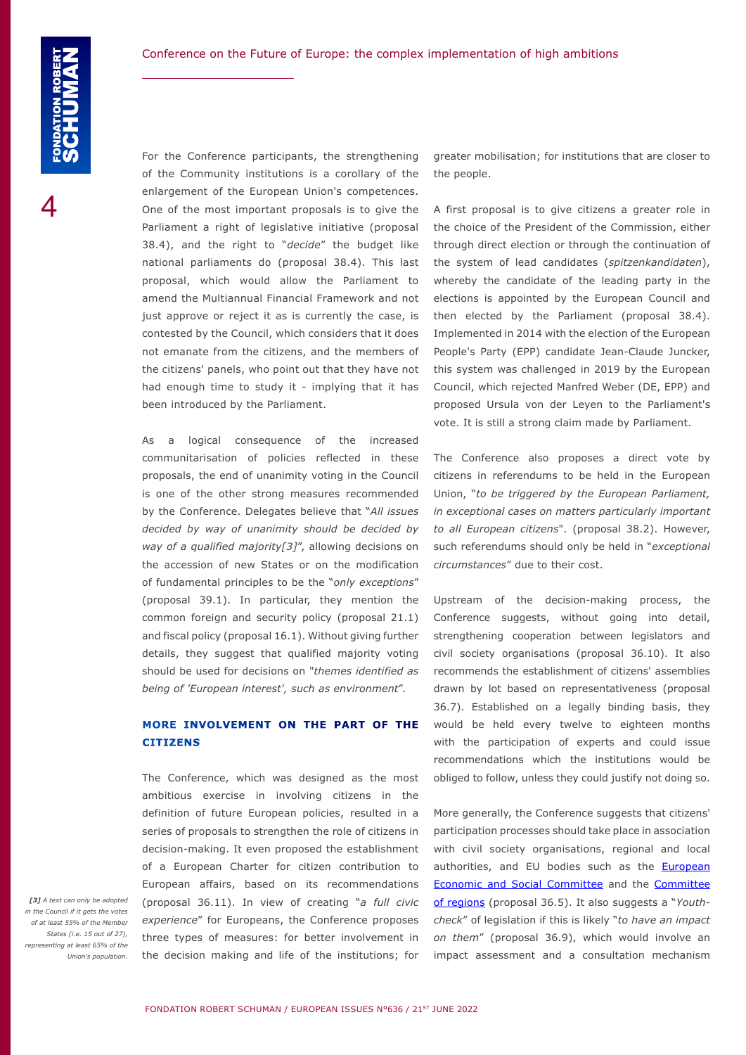For the Conference participants, the strengthening of the Community institutions is a corollary of the enlargement of the European Union's competences. One of the most important proposals is to give the Parliament a right of legislative initiative (proposal 38.4), and the right to "*decide*" the budget like national parliaments do (proposal 38.4). This last proposal, which would allow the Parliament to amend the Multiannual Financial Framework and not just approve or reject it as is currently the case, is contested by the Council, which considers that it does not emanate from the citizens, and the members of the citizens' panels, who point out that they have not had enough time to study it - implying that it has been introduced by the Parliament.

As a logical consequence of the increased communitarisation of policies reflected in these proposals, the end of unanimity voting in the Council is one of the other strong measures recommended by the Conference. Delegates believe that "*All issues decided by way of unanimity should be decided by way of a qualified majority[3]*", allowing decisions on the accession of new States or on the modification of fundamental principles to be the "*only exceptions*" (proposal 39.1). In particular, they mention the common foreign and security policy (proposal 21.1) and fiscal policy (proposal 16.1). Without giving further details, they suggest that qualified majority voting should be used for decisions on "*themes identified as being of 'European interest', such as environment*".

# **MORE INVOLVEMENT ON THE PART OF THE CITIZENS**

The Conference, which was designed as the most ambitious exercise in involving citizens in the definition of future European policies, resulted in a series of proposals to strengthen the role of citizens in decision-making. It even proposed the establishment of a European Charter for citizen contribution to European affairs, based on its recommendations (proposal 36.11). In view of creating "*a full civic experience*" for Europeans, the Conference proposes three types of measures: for better involvement in the decision making and life of the institutions; for

greater mobilisation; for institutions that are closer to the people.

A first proposal is to give citizens a greater role in the choice of the President of the Commission, either through direct election or through the continuation of the system of lead candidates (*spitzenkandidaten*), whereby the candidate of the leading party in the elections is appointed by the European Council and then elected by the Parliament (proposal 38.4). Implemented in 2014 with the election of the European People's Party (EPP) candidate Jean-Claude Juncker, this system was challenged in 2019 by the European Council, which rejected Manfred Weber (DE, EPP) and proposed Ursula von der Leyen to the Parliament's vote. It is still a strong claim made by Parliament.

The Conference also proposes a direct vote by citizens in referendums to be held in the European Union, "*to be triggered by the European Parliament, in exceptional cases on matters particularly important to all European citizens*". (proposal 38.2). However, such referendums should only be held in "*exceptional circumstances*" due to their cost.

Upstream of the decision-making process, the Conference suggests, without going into detail, strengthening cooperation between legislators and civil society organisations (proposal 36.10). It also recommends the establishment of citizens' assemblies drawn by lot based on representativeness (proposal 36.7). Established on a legally binding basis, they would be held every twelve to eighteen months with the participation of experts and could issue recommendations which the institutions would be obliged to follow, unless they could justify not doing so.

More generally, the Conference suggests that citizens' participation processes should take place in association with civil society organisations, regional and local authorities, and EU bodies such as the **European** [Economic and Social Committee](https://www.eesc.europa.eu/en) and the [Committee](https://cor.europa.eu/en/Pages/default.aspx)  [of regions](https://cor.europa.eu/en/Pages/default.aspx) (proposal 36.5). It also suggests a "*Youthcheck*" of legislation if this is likely "*to have an impact on them*" (proposal 36.9), which would involve an impact assessment and a consultation mechanism

*[3] A text can only be adopted in the Council if it gets the votes of at least 55% of the Member States (i.e. 15 out of 27), representing at least 65% of the Union's population.*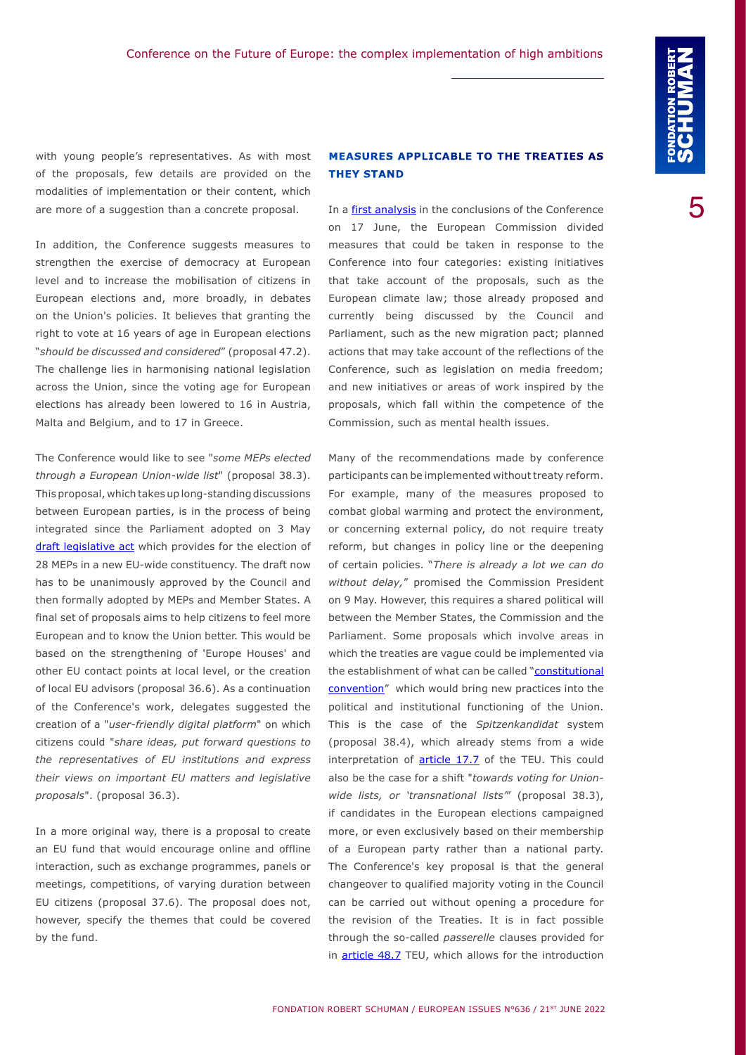with young people's representatives. As with most of the proposals, few details are provided on the modalities of implementation or their content, which are more of a suggestion than a concrete proposal.

In addition, the Conference suggests measures to strengthen the exercise of democracy at European level and to increase the mobilisation of citizens in European elections and, more broadly, in debates on the Union's policies. It believes that granting the right to vote at 16 years of age in European elections "*should be discussed and considered*" (proposal 47.2). The challenge lies in harmonising national legislation across the Union, since the voting age for European elections has already been lowered to 16 in Austria, Malta and Belgium, and to 17 in Greece.

The Conference would like to see "*some MEPs elected through a European Union-wide list*" (proposal 38.3). This proposal, which takes up long-standing discussions between European parties, is in the process of being integrated since the Parliament adopted on 3 May [draft legislative act](https://www.europarl.europa.eu/doceo/document/TA-9-2022-0129_EN.pdf) which provides for the election of 28 MEPs in a new EU-wide constituency. The draft now has to be unanimously approved by the Council and then formally adopted by MEPs and Member States. A final set of proposals aims to help citizens to feel more European and to know the Union better. This would be based on the strengthening of 'Europe Houses' and other EU contact points at local level, or the creation of local EU advisors (proposal 36.6). As a continuation of the Conference's work, delegates suggested the creation of a "*user-friendly digital platform*" on which citizens could "*share ideas, put forward questions to the representatives of EU institutions and express their views on important EU matters and legislative proposals*". (proposal 36.3).

In a more original way, there is a proposal to create an EU fund that would encourage online and offline interaction, such as exchange programmes, panels or meetings, competitions, of varying duration between EU citizens (proposal 37.6). The proposal does not, however, specify the themes that could be covered by the fund.

# **MEASURES APPLICABLE TO THE TREATIES AS THEY STAND**

In a [first analysis](https://ec.europa.eu/commission/presscorner/detail/en/ip_22_3750) in the conclusions of the Conference on 17 June, the European Commission divided measures that could be taken in response to the Conference into four categories: existing initiatives that take account of the proposals, such as the European climate law; those already proposed and currently being discussed by the Council and Parliament, such as the new migration pact; planned actions that may take account of the reflections of the Conference, such as legislation on media freedom; and new initiatives or areas of work inspired by the proposals, which fall within the competence of the Commission, such as mental health issues.

Many of the recommendations made by conference participants can be implemented without treaty reform. For example, many of the measures proposed to combat global warming and protect the environment, or concerning external policy, do not require treaty reform, but changes in policy line or the deepening of certain policies. "*There is already a lot we can do without delay,*" promised the Commission President on 9 May. However, this requires a shared political will between the Member States, the Commission and the Parliament. Some proposals which involve areas in which the treaties are vague could be implemented via the establishment of what can be called "constitutional [convention"](https://www.robert-schuman.eu/en/doc/questions-d-europe/qe-463-en.pdf) which would bring new practices into the political and institutional functioning of the Union. This is the case of the *Spitzenkandidat* system (proposal 38.4), which already stems from a wide interpretation of **article 17.7** of the TEU. This could also be the case for a shift "*towards voting for Unionwide lists, or 'transnational lists'*" (proposal 38.3), if candidates in the European elections campaigned more, or even exclusively based on their membership of a European party rather than a national party. The Conference's key proposal is that the general changeover to qualified majority voting in the Council can be carried out without opening a procedure for the revision of the Treaties. It is in fact possible through the so-called *passerelle* clauses provided for in [article 48.7](https://eur-lex.europa.eu/LexUriServ/LexUriServ.do?uri=CELEX:12008M048:en:HTML) TEU, which allows for the introduction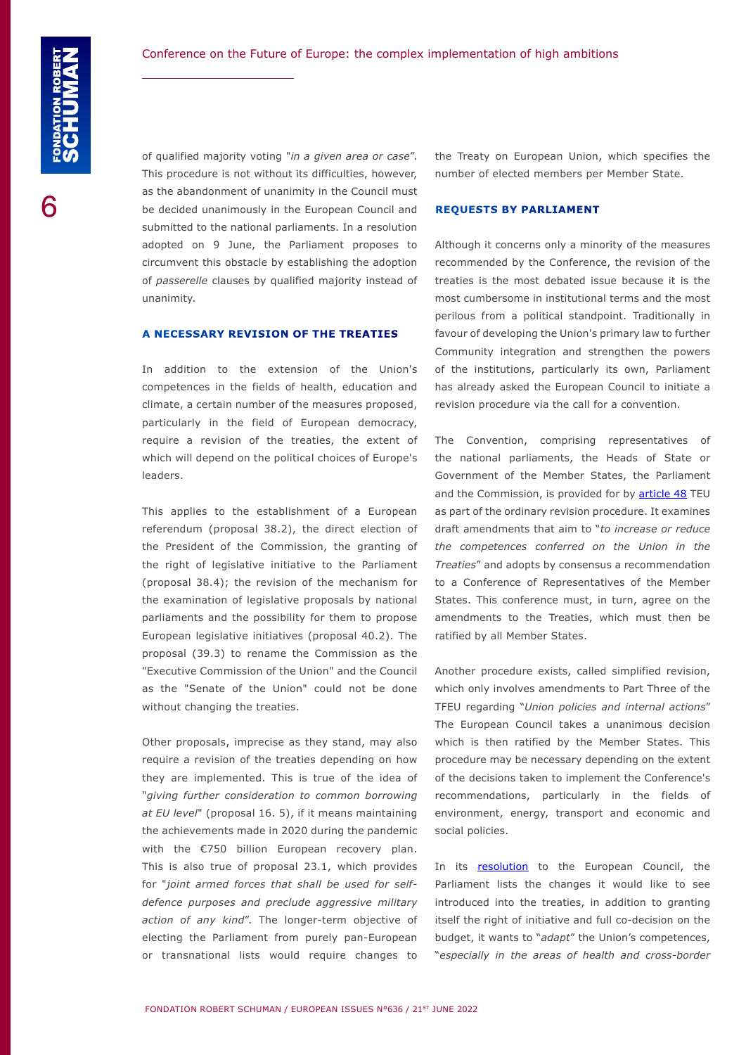of qualified majority voting "*in a given area or case*". This procedure is not without its difficulties, however, as the abandonment of unanimity in the Council must be decided unanimously in the European Council and submitted to the national parliaments. In a resolution adopted on 9 June, the Parliament proposes to circumvent this obstacle by establishing the adoption of *passerelle* clauses by qualified majority instead of unanimity.

#### **A NECESSARY REVISION OF THE TREATIES**

In addition to the extension of the Union's competences in the fields of health, education and climate, a certain number of the measures proposed, particularly in the field of European democracy, require a revision of the treaties, the extent of which will depend on the political choices of Europe's leaders.

This applies to the establishment of a European referendum (proposal 38.2), the direct election of the President of the Commission, the granting of the right of legislative initiative to the Parliament (proposal 38.4); the revision of the mechanism for the examination of legislative proposals by national parliaments and the possibility for them to propose European legislative initiatives (proposal 40.2). The proposal (39.3) to rename the Commission as the "Executive Commission of the Union" and the Council as the "Senate of the Union" could not be done without changing the treaties.

Other proposals, imprecise as they stand, may also require a revision of the treaties depending on how they are implemented. This is true of the idea of "*giving further consideration to common borrowing at EU level*" (proposal 16. 5), if it means maintaining the achievements made in 2020 during the pandemic with the €750 billion European recovery plan. This is also true of proposal 23.1, which provides for "*joint armed forces that shall be used for selfdefence purposes and preclude aggressive military action of any kind*". The longer-term objective of electing the Parliament from purely pan-European or transnational lists would require changes to the Treaty on European Union, which specifies the number of elected members per Member State.

#### **REQUESTS BY PARLIAMENT**

Although it concerns only a minority of the measures recommended by the Conference, the revision of the treaties is the most debated issue because it is the most cumbersome in institutional terms and the most perilous from a political standpoint. Traditionally in favour of developing the Union's primary law to further Community integration and strengthen the powers of the institutions, particularly its own, Parliament has already asked the European Council to initiate a revision procedure via the call for a convention.

The Convention, comprising representatives of the national parliaments, the Heads of State or Government of the Member States, the Parliament and the Commission, is provided for by [article 48](https://eur-lex.europa.eu/LexUriServ/LexUriServ.do?uri=CELEX:12008M048:en:HTML) TEU as part of the ordinary revision procedure. It examines draft amendments that aim to "*to increase or reduce the competences conferred on the Union in the Treaties*" and adopts by consensus a recommendation to a Conference of Representatives of the Member States. This conference must, in turn, agree on the amendments to the Treaties, which must then be ratified by all Member States.

Another procedure exists, called simplified revision, which only involves amendments to Part Three of the TFEU regarding "*Union policies and internal actions*" The European Council takes a unanimous decision which is then ratified by the Member States. This procedure may be necessary depending on the extent of the decisions taken to implement the Conference's recommendations, particularly in the fields of environment, energy, transport and economic and social policies.

In its **resolution** to the European Council, the Parliament lists the changes it would like to see introduced into the treaties, in addition to granting itself the right of initiative and full co-decision on the budget, it wants to "*adapt*" the Union's competences, "*especially in the areas of health and cross-border*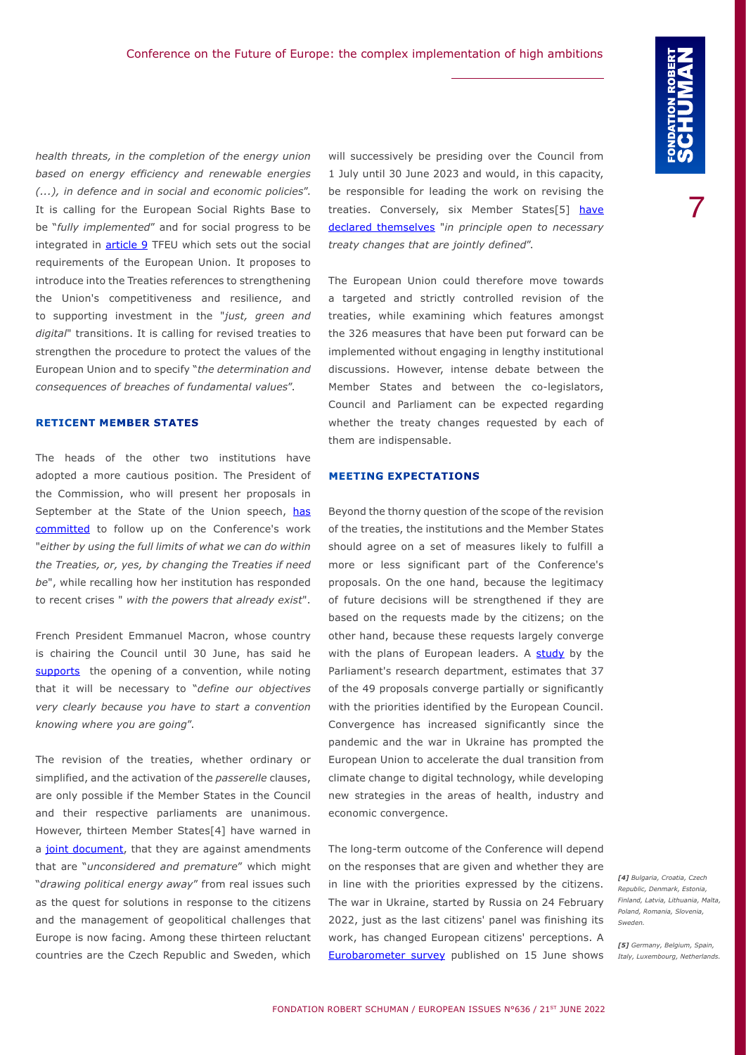*health threats, in the completion of the energy union based on energy efficiency and renewable energies (...), in defence and in social and economic policies*". It is calling for the European Social Rights Base to be "*fully implemented*" and for social progress to be integrated in **[article 9](https://eur-lex.europa.eu/legal-content/EN/TXT/HTML/?uri=CELEX:12016E009&from=EN)** TFEU which sets out the social requirements of the European Union. It proposes to introduce into the Treaties references to strengthening the Union's competitiveness and resilience, and to supporting investment in the "*just, green and digital*" transitions. It is calling for revised treaties to strengthen the procedure to protect the values of the European Union and to specify "*the determination and consequences of breaches of fundamental values*".

## **RETICENT MEMBER STATES**

The heads of the other two institutions have adopted a more cautious position. The President of the Commission, who will present her proposals in September at the State of the Union speech, [has](https://ec.europa.eu/commission/presscorner/detail/en/SPEECH_22_2944) [committed](https://ec.europa.eu/commission/presscorner/detail/en/SPEECH_22_2944) to follow up on the Conference's work "*either by using the full limits of what we can do within the Treaties, or, yes, by changing the Treaties if need be*", while recalling how her institution has responded to recent crises " *with the powers that already exist*".

French President Emmanuel Macron, whose country is chairing the Council until 30 June, has said he [supports](https://www.elysee.fr/front/pdf/elysee-module-19623-fr.pdf) the opening of a convention, while noting that it will be necessary to "*define our objectives very clearly because you have to start a convention knowing where you are going*".

The revision of the treaties, whether ordinary or simplified, and the activation of the *passerelle* clauses, are only possible if the Member States in the Council and their respective parliaments are unanimous. However, thirteen Member States[4] have warned in a [joint document,](https://www.government.se/information-material/2022/05/non-paper-by-bulgaria-croatia-the-czech-republic-denmark-estonia-finland-latvia-lithuania-malta-poland-romania-slovenia-and-sweden/) that they are against amendments that are "*unconsidered and premature*" which might "*drawing political energy away*" from real issues such as the quest for solutions in response to the citizens and the management of geopolitical challenges that Europe is now facing. Among these thirteen reluctant countries are the Czech Republic and Sweden, which

will successively be presiding over the Council from 1 July until 30 June 2023 and would, in this capacity, be responsible for leading the work on revising the treaties. Conversely, six Member States[5] have [declared themselves](https://www.tweedekamer.nl/downloads/document?id=0011f798-e556-43cf-8c96-6518de01691c&title=Non-paper%20submitted%20by%20Germany%2C%20Belgium%2C%20Italy%2C%20Luxembourg%2C%20the%20Netherlands%2C%20and%20Spain%20on%20implementing%20the%20proposals%20of%20the%20Plenary%20of%20the%20%E2%80%9CConference%20on%20the%20Future%20of%20Europe%E2%80%9D.pdf) "*in principle open to necessary treaty changes that are jointly defined*".

The European Union could therefore move towards a targeted and strictly controlled revision of the treaties, while examining which features amongst the 326 measures that have been put forward can be implemented without engaging in lengthy institutional discussions. However, intense debate between the Member States and between the co-legislators, Council and Parliament can be expected regarding whether the treaty changes requested by each of them are indispensable.

#### **MEETING EXPECTATIONS**

Beyond the thorny question of the scope of the revision of the treaties, the institutions and the Member States should agree on a set of measures likely to fulfill a more or less significant part of the Conference's proposals. On the one hand, because the legitimacy of future decisions will be strengthened if they are based on the requests made by the citizens; on the other hand, because these requests largely converge with the plans of European leaders. A [study](https://www.europarl.europa.eu/RegData/etudes/BRIE/2022/730325/EPRS_BRI(2022)730325_EN.pdf) by the Parliament's research department, estimates that 37 of the 49 proposals converge partially or significantly with the priorities identified by the European Council. Convergence has increased significantly since the pandemic and the war in Ukraine has prompted the European Union to accelerate the dual transition from climate change to digital technology, while developing new strategies in the areas of health, industry and economic convergence.

The long-term outcome of the Conference will depend on the responses that are given and whether they are in line with the priorities expressed by the citizens. The war in Ukraine, started by Russia on 24 February 2022, just as the last citizens' panel was finishing its work, has changed European citizens' perceptions. A [Eurobarometer survey](https://europa.eu/eurobarometer/surveys/detail/2694) published on 15 June shows

*[4] Bulgaria, Croatia, Czech Republic, Denmark, Estonia, Finland, Latvia, Lithuania, Malta, Poland, Romania, Slovenia, Sweden.*

*[5] Germany, Belgium, Spain, Italy, Luxembourg, Netherlands.*

7